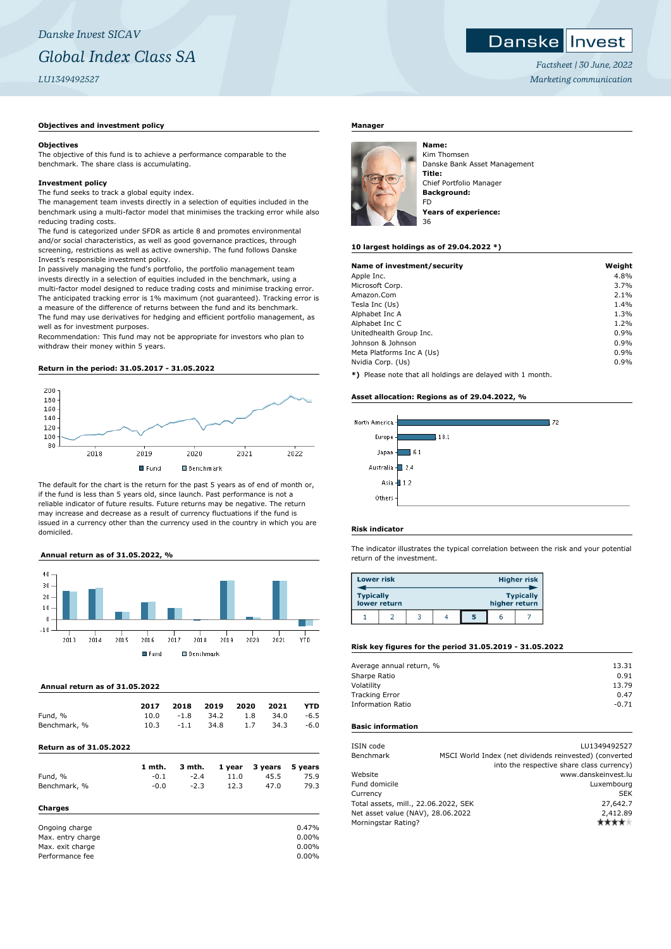## Danske **I** Invest

*Factsheet | 30 June, 2022 Marketing communication*

## **Objectives and investment policy**

## **Objectives**

The objective of this fund is to achieve a performance comparable to the benchmark. The share class is accumulating.

## **Investment policy**

The fund seeks to track a global equity index.

The management team invests directly in a selection of equities included in the benchmark using a multi-factor model that minimises the tracking error while also reducing trading costs.

The fund is categorized under SFDR as article 8 and promotes environmental and/or social characteristics, as well as good governance practices, through screening, restrictions as well as active ownership. The fund follows Danske Invest's responsible investment policy.

In passively managing the fund's portfolio, the portfolio management team invests directly in a selection of equities included in the benchmark, using a multi-factor model designed to reduce trading costs and minimise tracking error. The anticipated tracking error is 1% maximum (not guaranteed). Tracking error is a measure of the difference of returns between the fund and its benchmark. The fund may use derivatives for hedging and efficient portfolio management, as well as for investment purposes.

Recommendation: This fund may not be appropriate for investors who plan to withdraw their money within 5 years.

### **Return in the period: 31.05.2017 - 31.05.2022**



The default for the chart is the return for the past 5 years as of end of month or, if the fund is less than 5 years old, since launch. Past performance is not a reliable indicator of future results. Future returns may be negative. The return may increase and decrease as a result of currency fluctuations if the fund is issued in a currency other than the currency used in the country in which you are domiciled.

### **Annual return as of 31.05.2022, %**



### **Annual return as of 31.05.2022**

| 10.3 | $-1.1$ | 34.8 | 1.7  | 34.3 | $-6.0$ |
|------|--------|------|------|------|--------|
| 10.0 | $-1.8$ | 34.2 | 1.8  | 34.0 | $-6.5$ |
| 2017 | 2018   | 2019 | 2020 | 2021 | YTD    |
|      |        |      |      |      |        |

| Fund, %           | $-0.1$ | $-2.4$ | 11.0 | 45.5 | 75.9  |
|-------------------|--------|--------|------|------|-------|
| Benchmark, %      | $-0.0$ | $-2.3$ | 12.3 | 47.0 | 79.3  |
| Charges           |        |        |      |      |       |
| Ongoing charge    |        |        |      |      | 0.47% |
| Max. entry charge |        |        |      |      | 0.00% |

Max. exit charge 0.00% Performance fee 0.00%

## **Manager**



Kim Thomsen Danske Bank Asset Management **Title:** Chief Portfolio Manager **Background:** FD **Years of experience:**

### **10 largest holdings as of 29.04.2022 \*)**

| Name of investment/security | Weight |
|-----------------------------|--------|
| Apple Inc.                  | 4.8%   |
| Microsoft Corp.             | 3.7%   |
| Amazon.Com                  | 2.1%   |
| Tesla Inc (Us)              | 1.4%   |
| Alphabet Inc A              | 1.3%   |
| Alphabet Inc C              | 1.2%   |
| Unitedhealth Group Inc.     | 0.9%   |
| Johnson & Johnson           | 0.9%   |
| Meta Platforms Inc A (Us)   | 0.9%   |
| Nvidia Corp. (Us)           | 0.9%   |

**\*)** Please note that all holdings are delayed with 1 month.

## **Asset allocation: Regions as of 29.04.2022, %**



## **Risk indicator**

The indicator illustrates the typical correlation between the risk and your potential return of the investment.

| <b>Lower risk</b> |              |  |   |               | <b>Higher risk</b> |
|-------------------|--------------|--|---|---------------|--------------------|
| <b>Typically</b>  | lower return |  |   | higher return | <b>Typically</b>   |
|                   |              |  | 5 | ь             |                    |

## **Risk key figures for the period 31.05.2019 - 31.05.2022**

| Average annual return, % | 13.31   |
|--------------------------|---------|
| Sharpe Ratio             | 0.91    |
| Volatility               | 13.79   |
| <b>Tracking Error</b>    | 0.47    |
| <b>Information Ratio</b> | $-0.71$ |
|                          |         |

# **Basic information**

| ISIN code                            |  | LU1349492527                                           |
|--------------------------------------|--|--------------------------------------------------------|
| Benchmark                            |  | MSCI World Index (net dividends reinvested) (converted |
|                                      |  | into the respective share class currency)              |
| Website                              |  | www.danskeinvest.lu                                    |
| Fund domicile                        |  | Luxembourg                                             |
| Currency                             |  | <b>SEK</b>                                             |
| Total assets, mill., 22.06.2022, SEK |  | 27,642.7                                               |
| Net asset value (NAV), 28.06.2022    |  | 2,412.89                                               |
| Morningstar Rating?                  |  |                                                        |
|                                      |  |                                                        |